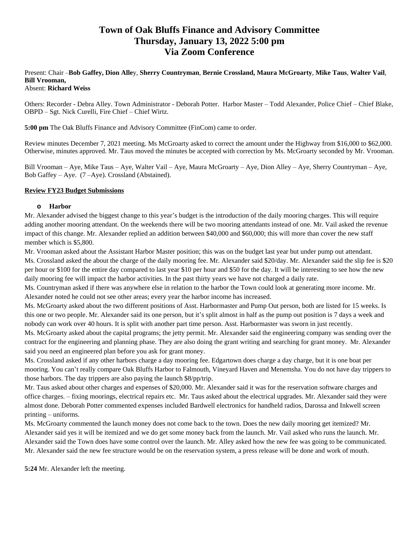# **Town of Oak Bluffs Finance and Advisory Committee Thursday, January 13, 2022 5:00 pm Via Zoom Conference**

# Present: Chair –**Bob Gaffey, Dion Alle**y, **Sherry Countryman**, **Bernie Crossland, Maura McGroarty**, **Mike Taus**, **Walter Vail**, **Bill Vrooman,**

#### Absent: **Richard Weiss**

Others: Recorder - Debra Alley. Town Administrator - Deborah Potter. Harbor Master – Todd Alexander, Police Chief – Chief Blake, OBPD – Sgt. Nick Curelli, Fire Chief – Chief Wirtz.

**5:00 pm** The Oak Bluffs Finance and Advisory Committee (FinCom) came to order.

Review minutes December 7, 2021 meeting. Ms McGroarty asked to correct the amount under the Highway from \$16,000 to \$62,000. Otherwise, minutes approved. Mr. Taus moved the minutes be accepted with correction by Ms. McGroarty seconded by Mr. Vrooman.

Bill Vrooman – Aye, Mike Taus – Aye, Walter Vail – Aye, Maura McGroarty – Aye, Dion Alley – Aye, Sherry Countryman – Aye, Bob Gaffey – Aye. (7 –Aye). Crossland (Abstained).

## **Review FY23 Budget Submissions**

## **o Harbor**

Mr. Alexander advised the biggest change to this year's budget is the introduction of the daily mooring charges. This will require adding another mooring attendant. On the weekends there will be two mooring attendants instead of one. Mr. Vail asked the revenue impact of this change. Mr. Alexander replied an addition between \$40,000 and \$60,000; this will more than cover the new staff member which is \$5,800.

Mr. Vrooman asked about the Assistant Harbor Master position; this was on the budget last year but under pump out attendant. Ms. Crossland asked the about the charge of the daily mooring fee. Mr. Alexander said \$20/day. Mr. Alexander said the slip fee is \$20 per hour or \$100 for the entire day compared to last year \$10 per hour and \$50 for the day. It will be interesting to see how the new daily mooring fee will impact the harbor activities. In the past thirty years we have not charged a daily rate.

Ms. Countryman asked if there was anywhere else in relation to the harbor the Town could look at generating more income. Mr. Alexander noted he could not see other areas; every year the harbor income has increased.

Ms. McGroarty asked about the two different positions of Asst. Harbormaster and Pump Out person, both are listed for 15 weeks. Is this one or two people. Mr. Alexander said its one person, but it's split almost in half as the pump out position is 7 days a week and nobody can work over 40 hours. It is split with another part time person. Asst. Harbormaster was sworn in just recently.

Ms. McGroarty asked about the capital programs; the jetty permit. Mr. Alexander said the engineering company was sending over the contract for the engineering and planning phase. They are also doing the grant writing and searching for grant money. Mr. Alexander said you need an engineered plan before you ask for grant money.

Ms. Crossland asked if any other harbors charge a day mooring fee. Edgartown does charge a day charge, but it is one boat per mooring. You can't really compare Oak Bluffs Harbor to Falmouth, Vineyard Haven and Menemsha. You do not have day trippers to those harbors. The day trippers are also paying the launch \$8/pp/trip.

Mr. Taus asked about other charges and expenses of \$20,000. Mr. Alexander said it was for the reservation software charges and office charges. – fixing moorings, electrical repairs etc. Mr. Taus asked about the electrical upgrades. Mr. Alexander said they were almost done. Deborah Potter commented expenses included Bardwell electronics for handheld radios, Darossa and Inkwell screen printing – uniforms.

Ms. McGroarty commented the launch money does not come back to the town. Does the new daily mooring get itemized? Mr. Alexander said yes it will be itemized and we do get some money back from the launch. Mr. Vail asked who runs the launch. Mr. Alexander said the Town does have some control over the launch. Mr. Alley asked how the new fee was going to be communicated. Mr. Alexander said the new fee structure would be on the reservation system, a press release will be done and work of mouth.

**5:24** Mr. Alexander left the meeting.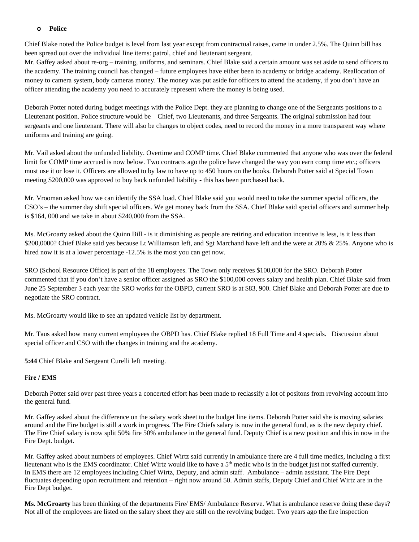#### **o Police**

Chief Blake noted the Police budget is level from last year except from contractual raises, came in under 2.5%. The Quinn bill has been spread out over the individual line items: patrol, chief and lieutenant sergeant.

Mr. Gaffey asked about re-org – training, uniforms, and seminars. Chief Blake said a certain amount was set aside to send officers to the academy. The training council has changed – future employees have either been to academy or bridge academy. Reallocation of money to camera system, body cameras money. The money was put aside for officers to attend the academy, if you don't have an officer attending the academy you need to accurately represent where the money is being used.

Deborah Potter noted during budget meetings with the Police Dept. they are planning to change one of the Sergeants positions to a Lieutenant position. Police structure would be – Chief, two Lieutenants, and three Sergeants. The original submission had four sergeants and one lieutenant. There will also be changes to object codes, need to record the money in a more transparent way where uniforms and training are going.

Mr. Vail asked about the unfunded liability. Overtime and COMP time. Chief Blake commented that anyone who was over the federal limit for COMP time accrued is now below. Two contracts ago the police have changed the way you earn comp time etc.; officers must use it or lose it. Officers are allowed to by law to have up to 450 hours on the books. Deborah Potter said at Special Town meeting \$200,000 was approved to buy back unfunded liability - this has been purchased back.

Mr. Vrooman asked how we can identify the SSA load. Chief Blake said you would need to take the summer special officers, the CSO's – the summer day shift special officers. We get money back from the SSA. Chief Blake said special officers and summer help is \$164, 000 and we take in about \$240,000 from the SSA.

Ms. McGroarty asked about the Quinn Bill - is it diminishing as people are retiring and education incentive is less, is it less than \$200,0000? Chief Blake said yes because Lt Williamson left, and Sgt Marchand have left and the were at 20% & 25%. Anyone who is hired now it is at a lower percentage -12.5% is the most you can get now.

SRO (School Resource Office) is part of the 18 employees. The Town only receives \$100,000 for the SRO. Deborah Potter commented that if you don't have a senior officer assigned as SRO the \$100,000 covers salary and health plan. Chief Blake said from June 25 September 3 each year the SRO works for the OBPD, current SRO is at \$83, 900. Chief Blake and Deborah Potter are due to negotiate the SRO contract.

Ms. McGroarty would like to see an updated vehicle list by department.

Mr. Taus asked how many current employees the OBPD has. Chief Blake replied 18 Full Time and 4 specials. Discussion about special officer and CSO with the changes in training and the academy.

**5:44** Chief Blake and Sergeant Curelli left meeting.

#### F**ire / EMS**

Deborah Potter said over past three years a concerted effort has been made to reclassify a lot of positons from revolving account into the general fund.

Mr. Gaffey asked about the difference on the salary work sheet to the budget line items. Deborah Potter said she is moving salaries around and the Fire budget is still a work in progress. The Fire Chiefs salary is now in the general fund, as is the new deputy chief. The Fire Chief salary is now split 50% fire 50% ambulance in the general fund. Deputy Chief is a new position and this in now in the Fire Dept. budget.

Mr. Gaffey asked about numbers of employees. Chief Wirtz said currently in ambulance there are 4 full time medics, including a first lieutenant who is the EMS coordinator. Chief Wirtz would like to have a 5<sup>th</sup> medic who is in the budget just not staffed currently. In EMS there are 12 employees including Chief Wirtz, Deputy, and admin staff. Ambulance – admin assistant. The Fire Dept fluctuates depending upon recruitment and retention – right now around 50. Admin staffs, Deputy Chief and Chief Wirtz are in the Fire Dept budget.

**Ms. McGroarty** has been thinking of the departments Fire/ EMS/ Ambulance Reserve. What is ambulance reserve doing these days? Not all of the employees are listed on the salary sheet they are still on the revolving budget. Two years ago the fire inspection